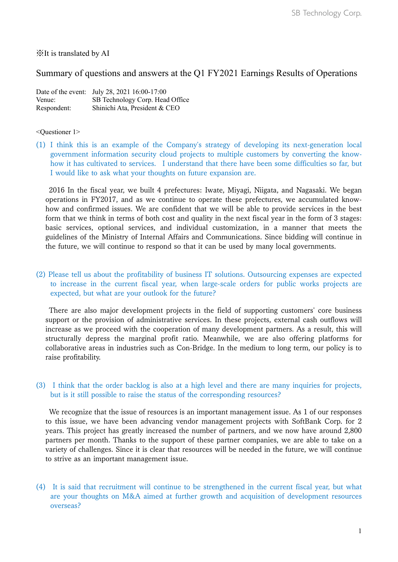## ※It is translated by AI

# Summary of questions and answers at the Q1 FY2021 Earnings Results of Operations

|             | Date of the event: July 28, 2021 16:00-17:00 |
|-------------|----------------------------------------------|
| Venue:      | SB Technology Corp. Head Office              |
| Respondent: | Shinichi Ata, President & CEO                |

#### <Questioner 1>

(1) I think this is an example of the Company's strategy of developing its next-generation local government information security cloud projects to multiple customers by converting the knowhow it has cultivated to services. I understand that there have been some difficulties so far, but I would like to ask what your thoughts on future expansion are.

2016 In the fiscal year, we built 4 prefectures: Iwate, Miyagi, Niigata, and Nagasaki. We began operations in FY2017, and as we continue to operate these prefectures, we accumulated knowhow and confirmed issues. We are confident that we will be able to provide services in the best form that we think in terms of both cost and quality in the next fiscal year in the form of 3 stages: basic services, optional services, and individual customization, in a manner that meets the guidelines of the Ministry of Internal Affairs and Communications. Since bidding will continue in the future, we will continue to respond so that it can be used by many local governments.

## (2) Please tell us about the profitability of business IT solutions. Outsourcing expenses are expected to increase in the current fiscal year, when large-scale orders for public works projects are expected, but what are your outlook for the future?

There are also major development projects in the field of supporting customers' core business support or the provision of administrative services. In these projects, external cash outflows will increase as we proceed with the cooperation of many development partners. As a result, this will structurally depress the marginal profit ratio. Meanwhile, we are also offering platforms for collaborative areas in industries such as Con-Bridge. In the medium to long term, our policy is to raise profitability.

### (3) I think that the order backlog is also at a high level and there are many inquiries for projects, but is it still possible to raise the status of the corresponding resources?

We recognize that the issue of resources is an important management issue. As 1 of our responses to this issue, we have been advancing vendor management projects with SoftBank Corp. for 2 years. This project has greatly increased the number of partners, and we now have around 2,800 partners per month. Thanks to the support of these partner companies, we are able to take on a variety of challenges. Since it is clear that resources will be needed in the future, we will continue to strive as an important management issue.

(4) It is said that recruitment will continue to be strengthened in the current fiscal year, but what are your thoughts on M&A aimed at further growth and acquisition of development resources overseas?